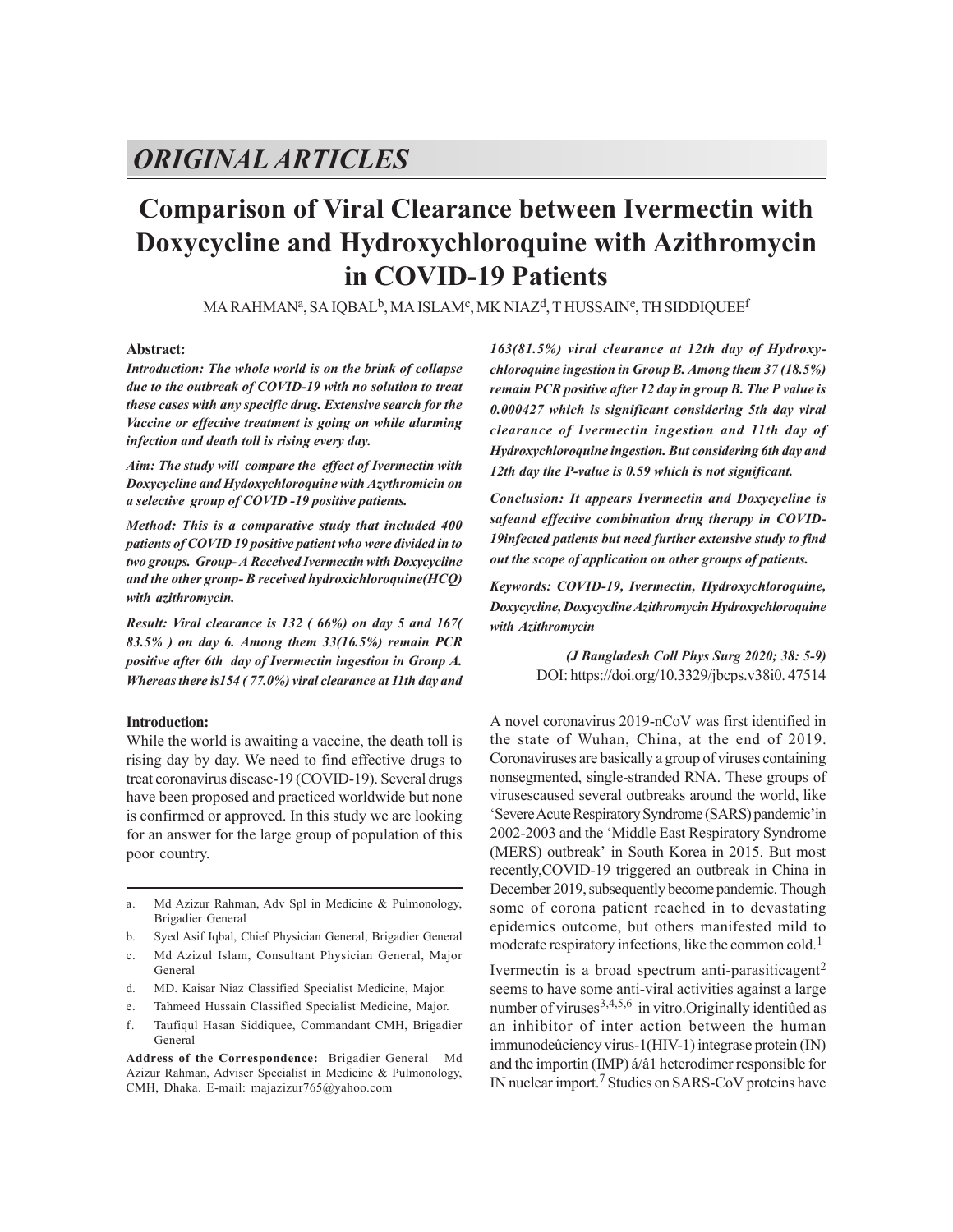# *ORIGINALARTICLES*

# **Comparison of Viral Clearance between Ivermectin with Doxycycline and Hydroxychloroquine with Azithromycin in COVID-19 Patients**

MA RAHMANª, SA IQBAL<sup>b</sup>, MA ISLAMº, MK NIAZ<sup>d</sup>, T HUSSAINº, TH SIDDIQUEE<sup>f</sup>

### **Abstract:**

*Introduction: The whole world is on the brink of collapse due to the outbreak of COVID-19 with no solution to treat these cases with any specific drug. Extensive search for the Vaccine or effective treatment is going on while alarming infection and death toll is rising every day.*

*Aim: The study will compare the effect of Ivermectin with Doxycycline and Hydoxychloroquine with Azythromicin on a selective group of COVID -19 positive patients.*

*Method: This is a comparative study that included 400 patients of COVID 19 positive patient who were divided in to two groups. Group- A Received Ivermectin with Doxycycline and the other group- B received hydroxichloroquine(HCQ) with azithromycin.*

*Result: Viral clearance is 132 ( 66%) on day 5 and 167( 83.5% ) on day 6. Among them 33(16.5%) remain PCR positive after 6th day of Ivermectin ingestion in Group A. Whereas there is154 ( 77.0%) viral clearance at 11th day and*

#### **Introduction:**

While the world is awaiting a vaccine, the death toll is rising day by day. We need to find effective drugs to treat coronavirus disease-19 (COVID-19). Several drugs have been proposed and practiced worldwide but none is confirmed or approved. In this study we are looking for an answer for the large group of population of this poor country.

a. Md Azizur Rahman, Adv Spl in Medicine & Pulmonology, Brigadier General

- b. Syed Asif Iqbal, Chief Physician General, Brigadier General
- c. Md Azizul Islam, Consultant Physician General, Major General
- d. MD. Kaisar Niaz Classified Specialist Medicine, Major.
- e. Tahmeed Hussain Classified Specialist Medicine, Major.
- f. Taufiqul Hasan Siddiquee, Commandant CMH, Brigadier General

**Address of the Correspondence:** Brigadier General Md Azizur Rahman, Adviser Specialist in Medicine & Pulmonology, CMH, Dhaka. E-mail: majazizur765@yahoo.com

*163(81.5%) viral clearance at 12th day of Hydroxychloroquine ingestion in Group B. Among them 37 (18.5%) remain PCR positive after 12 day in group B. The P value is 0.000427 which is significant considering 5th day viral clearance of Ivermectin ingestion and 11th day of Hydroxychloroquine ingestion. But considering 6th day and 12th day the P-value is 0.59 which is not significant.*

*Conclusion: It appears Ivermectin and Doxycycline is safeand effective combination drug therapy in COVID-19infected patients but need further extensive study to find out the scope of application on other groups of patients.*

*Keywords: COVID-19, Ivermectin, Hydroxychloroquine, Doxycycline, Doxycycline Azithromycin Hydroxychloroquine with Azithromycin*

> *(J Bangladesh Coll Phys Surg 2020; 38: 5-9)* DOI: https://doi.org/10.3329/jbcps.v38i0. 47514

A novel coronavirus 2019-nCoV was first identified in the state of Wuhan, China, at the end of 2019. Coronaviruses are basically a group of viruses containing nonsegmented, single-stranded RNA. These groups of virusescaused several outbreaks around the world, like 'Severe Acute Respiratory Syndrome (SARS) pandemic'in 2002-2003 and the 'Middle East Respiratory Syndrome (MERS) outbreak' in South Korea in 2015. But most recently,COVID-19 triggered an outbreak in China in December 2019, subsequently become pandemic. Though some of corona patient reached in to devastating epidemics outcome, but others manifested mild to moderate respiratory infections, like the common cold.<sup>1</sup>

Ivermectin is a broad spectrum anti-parasiticagent<sup>2</sup> seems to have some anti-viral activities against a large number of viruses $^{3,4,5,6}$  in vitro. Originally identified as an inhibitor of inter action between the human immunodeûciency virus-1(HIV-1) integrase protein (IN) and the importin (IMP) á/â1 heterodimer responsible for IN nuclear import.<sup>7</sup> Studies on SARS-CoV proteins have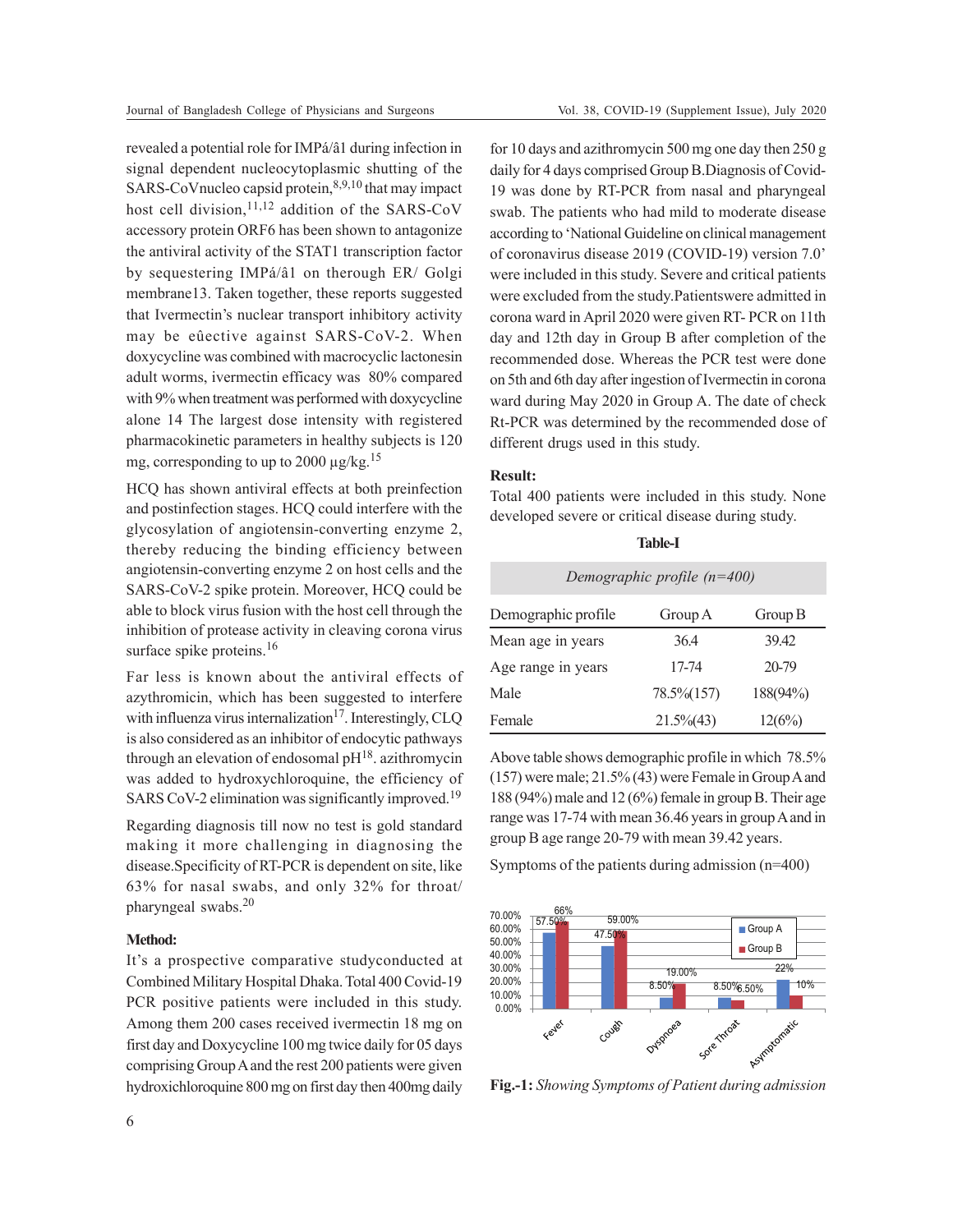revealed a potential role for IMPá/â1 during infection in signal dependent nucleocytoplasmic shutting of the SARS-CoVnucleo capsid protein,8,9,10 that may impact host cell division,  $11,12$  addition of the SARS-CoV accessory protein ORF6 has been shown to antagonize the antiviral activity of the STAT1 transcription factor by sequestering IMPá/â1 on therough ER/ Golgi membrane13. Taken together, these reports suggested that Ivermectin's nuclear transport inhibitory activity may be eûective against SARS-CoV-2. When doxycycline was combined with macrocyclic lactonesin adult worms, ivermectin efficacy was 80% compared with 9% when treatment was performed with doxycycline alone 14 The largest dose intensity with registered pharmacokinetic parameters in healthy subjects is 120 mg, corresponding to up to 2000  $\mu$ g/kg.<sup>15</sup>

HCQ has shown antiviral effects at both preinfection and postinfection stages. HCQ could interfere with the glycosylation of angiotensin-converting enzyme 2, thereby reducing the binding efficiency between angiotensin-converting enzyme 2 on host cells and the SARS-CoV-2 spike protein. Moreover, HCQ could be able to block virus fusion with the host cell through the inhibition of protease activity in cleaving corona virus surface spike proteins.<sup>16</sup>

Far less is known about the antiviral effects of azythromicin, which has been suggested to interfere with influenza virus internalization<sup>17</sup>. Interestingly, CLQ is also considered as an inhibitor of endocytic pathways through an elevation of endosomal  $pH^{18}$ . azithromycin was added to hydroxychloroquine, the efficiency of SARS CoV-2 elimination was significantly improved.<sup>19</sup>

Regarding diagnosis till now no test is gold standard making it more challenging in diagnosing the disease.Specificity of RT-PCR is dependent on site, like 63% for nasal swabs, and only 32% for throat/ pharyngeal swabs.<sup>20</sup>

#### **Method:**

It's a prospective comparative studyconducted at Combined Military Hospital Dhaka. Total 400 Covid-19 PCR positive patients were included in this study. Among them 200 cases received ivermectin 18 mg on first day and Doxycycline 100 mg twice daily for 05 days comprising Group A and the rest 200 patients were given hydroxichloroquine 800 mg on first day then 400mg daily for 10 days and azithromycin 500 mg one day then 250 g daily for 4 days comprised Group B.Diagnosis of Covid-19 was done by RT-PCR from nasal and pharyngeal swab. The patients who had mild to moderate disease according to 'National Guideline on clinical management of coronavirus disease 2019 (COVID-19) version 7.0' were included in this study. Severe and critical patients were excluded from the study.Patientswere admitted in corona ward in April 2020 were given RT- PCR on 11th day and 12th day in Group B after completion of the recommended dose. Whereas the PCR test were done on 5th and 6th day after ingestion of Ivermectin in corona ward during May 2020 in Group A. The date of check Rt-PCR was determined by the recommended dose of different drugs used in this study.

#### **Result:**

Total 400 patients were included in this study. None developed severe or critical disease during study.

| .,<br>۰,<br>×<br>I<br>۰, |
|--------------------------|
|--------------------------|

| Demographic profile $(n=400)$ |               |          |  |  |
|-------------------------------|---------------|----------|--|--|
| Demographic profile           | Group A       | Group B  |  |  |
| Mean age in years             | 36.4          | 39.42    |  |  |
| Age range in years            | 17-74         | 20-79    |  |  |
| Male                          | 78.5% (157)   | 188(94%) |  |  |
| Female                        | $21.5\%$ (43) | 12(6%)   |  |  |

Above table shows demographic profile in which 78.5% (157) were male; 21.5% (43) were Female in Group A and 188 (94%) male and 12 (6%) female in group B. Their age range was 17-74 with mean 36.46 years in group A and in group B age range 20-79 with mean 39.42 years.

Symptoms of the patients during admission (n=400)



**Fig.-1:** *Showing Symptoms of Patient during admission*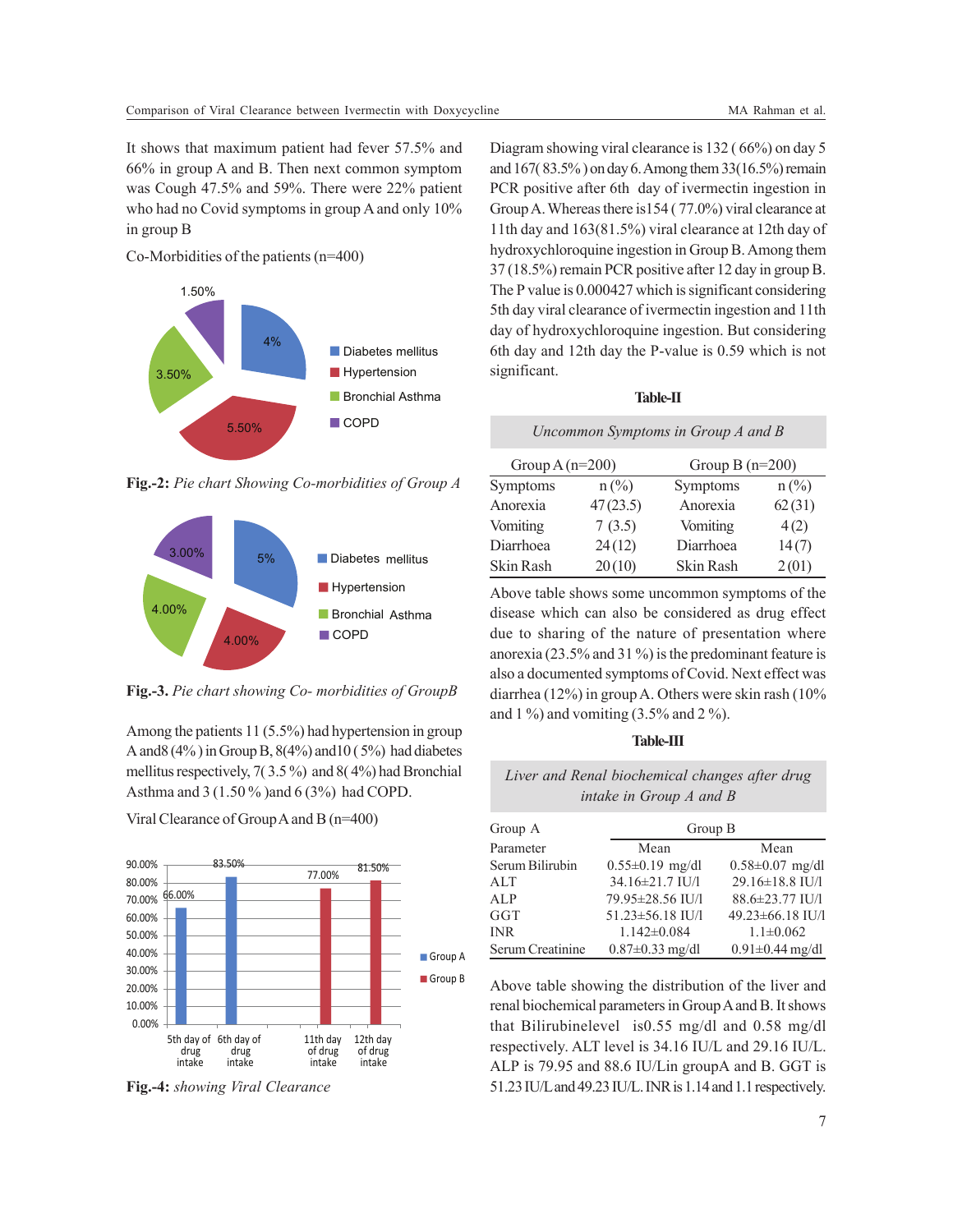It shows that maximum patient had fever 57.5% and 66% in group A and B. Then next common symptom was Cough 47.5% and 59%. There were 22% patient who had no Covid symptoms in group A and only 10% in group B

Co-Morbidities of the patients (n=400)



**Fig.-2:** *Pie chart Showing Co-morbidities of Group A*



**Fig.-3.** *Pie chart showing Co- morbidities of GroupB*

Among the patients 11 (5.5%) had hypertension in group A and  $(4\%)$  in Group B,  $(4\%)$  and  $10(5\%)$  had diabetes mellitus respectively, 7( 3.5 %) and 8( 4%) had Bronchial Asthma and 3 (1.50 % )and 6 (3%) had COPD.

Viral Clearance of Group A and B (n=400)



**Fig.-4:** *showing Viral Clearance*

Diagram showing viral clearance is 132 ( 66%) on day 5 and 167( 83.5% ) on day 6. Among them 33(16.5%) remain PCR positive after 6th day of ivermectin ingestion in Group A. Whereas there is154 ( 77.0%) viral clearance at 11th day and 163(81.5%) viral clearance at 12th day of hydroxychloroquine ingestion in Group B. Among them 37 (18.5%) remain PCR positive after 12 day in group B. The P value is 0.000427 which is significant considering 5th day viral clearance of ivermectin ingestion and 11th day of hydroxychloroquine ingestion. But considering 6th day and 12th day the P-value is 0.59 which is not significant.

#### **Table-II**

*Uncommon Symptoms in Group A and B*

| Group $A(n=200)$ |                 | Group B $(n=200)$ |                 |
|------------------|-----------------|-------------------|-----------------|
| Symptoms         | $n\binom{0}{0}$ | Symptoms          | $n\binom{0}{0}$ |
| Anorexia         | 47(23.5)        | Anorexia          | 62(31)          |
| Vomiting         | 7(3.5)          | Vomiting          | 4(2)            |
| Diarrhoea        | 24(12)          | Diarrhoea         | 14(7)           |
| Skin Rash        | 20(10)          | Skin Rash         | 2(01)           |

Above table shows some uncommon symptoms of the disease which can also be considered as drug effect due to sharing of the nature of presentation where anorexia (23.5% and 31 %) is the predominant feature is also a documented symptoms of Covid. Next effect was diarrhea (12%) in group A. Others were skin rash (10% and 1 %) and vomiting  $(3.5\% \text{ and } 2\%)$ .

#### **Table-III**

| Liver and Renal biochemical changes after drug |  |
|------------------------------------------------|--|
| intake in Group $A$ and $B$                    |  |

| Group A          | Group B               |                       |  |
|------------------|-----------------------|-----------------------|--|
| Parameter        | Mean                  | Mean                  |  |
| Serum Bilirubin  | $0.55 \pm 0.19$ mg/dl | $0.58 \pm 0.07$ mg/dl |  |
| ALT              | 34.16±21.7 IU/l       | 29.16±18.8 IU/l       |  |
| ALP              | 79.95±28.56 IU/l      | 88.6±23.77 IU/l       |  |
| GGT              | 51.23±56.18 IU/l      | 49.23±66.18 IU/l      |  |
| <b>INR</b>       | $1.142 \pm 0.084$     | $1.1 \pm 0.062$       |  |
| Serum Creatinine | $0.87 \pm 0.33$ mg/dl | $0.91 \pm 0.44$ mg/dl |  |

Above table showing the distribution of the liver and renal biochemical parameters in Group A and B. It shows that Bilirubinelevel is0.55 mg/dl and 0.58 mg/dl respectively. ALT level is 34.16 IU/L and 29.16 IU/L. ALP is 79.95 and 88.6 IU/Lin groupA and B. GGT is 51.23 IU/L and 49.23 IU/L. INR is 1.14 and 1.1 respectively.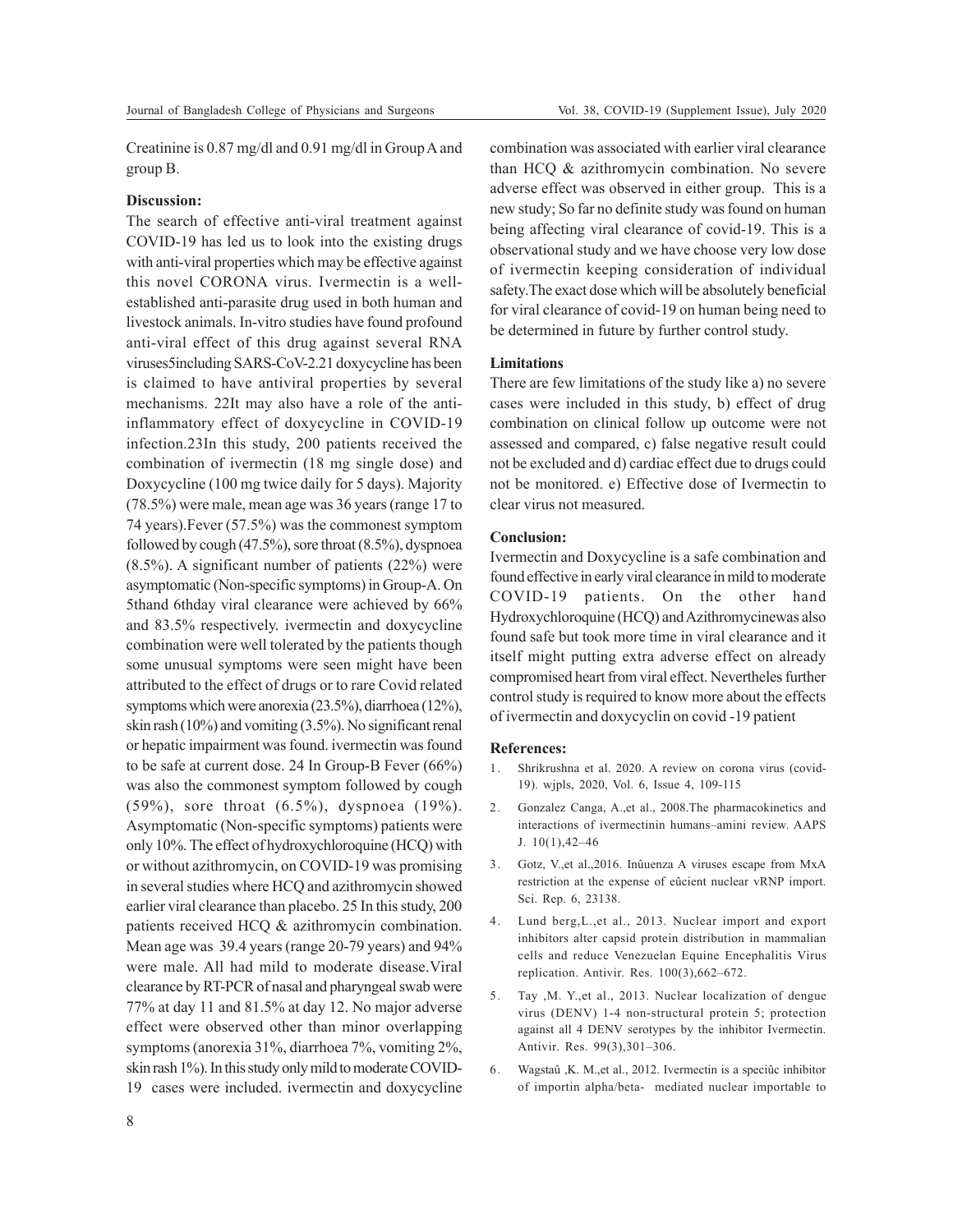Creatinine is 0.87 mg/dl and 0.91 mg/dl in Group A and group B.

## **Discussion:**

The search of effective anti-viral treatment against COVID-19 has led us to look into the existing drugs with anti-viral properties which may be effective against this novel CORONA virus. Ivermectin is a wellestablished anti-parasite drug used in both human and livestock animals. In-vitro studies have found profound anti-viral effect of this drug against several RNA viruses5including SARS-CoV-2.21 doxycycline has been is claimed to have antiviral properties by several mechanisms. 22It may also have a role of the antiinflammatory effect of doxycycline in COVID-19 infection.23In this study, 200 patients received the combination of ivermectin (18 mg single dose) and Doxycycline (100 mg twice daily for 5 days). Majority (78.5%) were male, mean age was 36 years (range 17 to 74 years).Fever (57.5%) was the commonest symptom followed by cough (47.5%), sore throat (8.5%), dyspnoea (8.5%). A significant number of patients (22%) were asymptomatic (Non-specific symptoms) in Group-A. On 5thand 6thday viral clearance were achieved by 66% and 83.5% respectively. ivermectin and doxycycline combination were well tolerated by the patients though some unusual symptoms were seen might have been attributed to the effect of drugs or to rare Covid related symptoms which were anorexia (23.5%), diarrhoea (12%), skin rash (10%) and vomiting (3.5%). No significant renal or hepatic impairment was found. ivermectin was found to be safe at current dose. 24 In Group-B Fever (66%) was also the commonest symptom followed by cough (59%), sore throat (6.5%), dyspnoea (19%). Asymptomatic (Non-specific symptoms) patients were only 10%. The effect of hydroxychloroquine (HCQ) with or without azithromycin, on COVID-19 was promising in several studies where HCQ and azithromycin showed earlier viral clearance than placebo. 25 In this study, 200 patients received HCQ & azithromycin combination. Mean age was 39.4 years (range 20-79 years) and 94% were male. All had mild to moderate disease.Viral clearance by RT-PCR of nasal and pharyngeal swab were 77% at day 11 and 81.5% at day 12. No major adverse effect were observed other than minor overlapping symptoms (anorexia 31%, diarrhoea 7%, vomiting 2%, skin rash 1%). In this study only mild to moderate COVID-19 cases were included. ivermectin and doxycycline

combination was associated with earlier viral clearance than HCQ & azithromycin combination. No severe adverse effect was observed in either group. This is a new study; So far no definite study was found on human being affecting viral clearance of covid-19. This is a observational study and we have choose very low dose of ivermectin keeping consideration of individual safety.The exact dose which will be absolutely beneficial for viral clearance of covid-19 on human being need to be determined in future by further control study.

### **Limitations**

There are few limitations of the study like a) no severe cases were included in this study, b) effect of drug combination on clinical follow up outcome were not assessed and compared, c) false negative result could not be excluded and d) cardiac effect due to drugs could not be monitored. e) Effective dose of Ivermectin to clear virus not measured.

#### **Conclusion:**

Ivermectin and Doxycycline is a safe combination and found effective in early viral clearance in mild to moderate COVID-19 patients. On the other hand Hydroxychloroquine (HCQ) and Azithromycinewas also found safe but took more time in viral clearance and it itself might putting extra adverse effect on already compromised heart from viral effect. Nevertheles further control study is required to know more about the effects of ivermectin and doxycyclin on covid -19 patient

#### **References:**

- 1. Shrikrushna et al. 2020. A review on corona virus (covid-19). wjpls, 2020, Vol. 6, Issue 4, 109-115
- 2. Gonzalez Canga, A.,et al., 2008.The pharmacokinetics and interactions of ivermectinin humans–amini review. AAPS J. 10(1),42–46
- 3. Gotz, V.,et al.,2016. Inûuenza A viruses escape from MxA restriction at the expense of eûcient nuclear vRNP import. Sci. Rep. 6, 23138.
- 4. Lund berg,L.,et al., 2013. Nuclear import and export inhibitors alter capsid protein distribution in mammalian cells and reduce Venezuelan Equine Encephalitis Virus replication. Antivir. Res. 100(3),662–672.
- 5. Tay ,M. Y.,et al., 2013. Nuclear localization of dengue virus (DENV) 1-4 non-structural protein 5; protection against all 4 DENV serotypes by the inhibitor Ivermectin. Antivir. Res. 99(3),301–306.
- 6. Wagstaû ,K. M.,et al., 2012. Ivermectin is a speciûc inhibitor of importin alpha/beta- mediated nuclear importable to